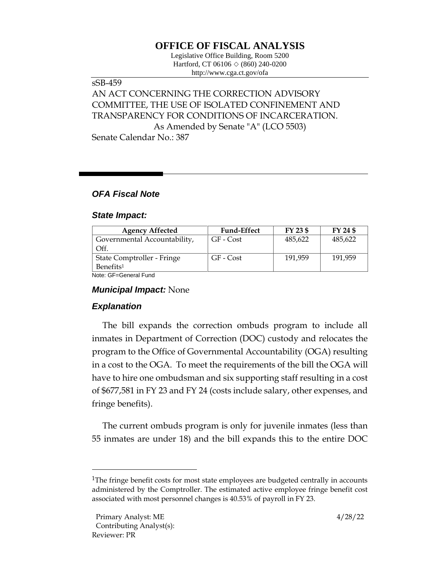# **OFFICE OF FISCAL ANALYSIS**

Legislative Office Building, Room 5200 Hartford, CT 06106  $\Diamond$  (860) 240-0200 http://www.cga.ct.gov/ofa

# sSB-459 AN ACT CONCERNING THE CORRECTION ADVISORY COMMITTEE, THE USE OF ISOLATED CONFINEMENT AND TRANSPARENCY FOR CONDITIONS OF INCARCERATION. As Amended by Senate "A" (LCO 5503)

Senate Calendar No.: 387

## *OFA Fiscal Note*

### *State Impact:*

| <b>Agency Affected</b>       | <b>Fund-Effect</b> | FY 23 \$ | FY 24 \$ |
|------------------------------|--------------------|----------|----------|
| Governmental Accountability, | GF - Cost          | 485,622  | 485,622  |
| Off.                         |                    |          |          |
| State Comptroller - Fringe   | GF - Cost          | 191,959  | 191,959  |
| Benefits <sup>1</sup>        |                    |          |          |
| Noto: CE-Conoral Eund        |                    |          |          |

Note: GF=General Fund

### *Municipal Impact:* None

### *Explanation*

The bill expands the correction ombuds program to include all inmates in Department of Correction (DOC) custody and relocates the program to the Office of Governmental Accountability (OGA) resulting in a cost to the OGA. To meet the requirements of the bill the OGA will have to hire one ombudsman and six supporting staff resulting in a cost of \$677,581 in FY 23 and FY 24 (costs include salary, other expenses, and fringe benefits).

The current ombuds program is only for juvenile inmates (less than 55 inmates are under 18) and the bill expands this to the entire DOC

<sup>&</sup>lt;sup>1</sup>The fringe benefit costs for most state employees are budgeted centrally in accounts administered by the Comptroller. The estimated active employee fringe benefit cost associated with most personnel changes is 40.53% of payroll in FY 23.